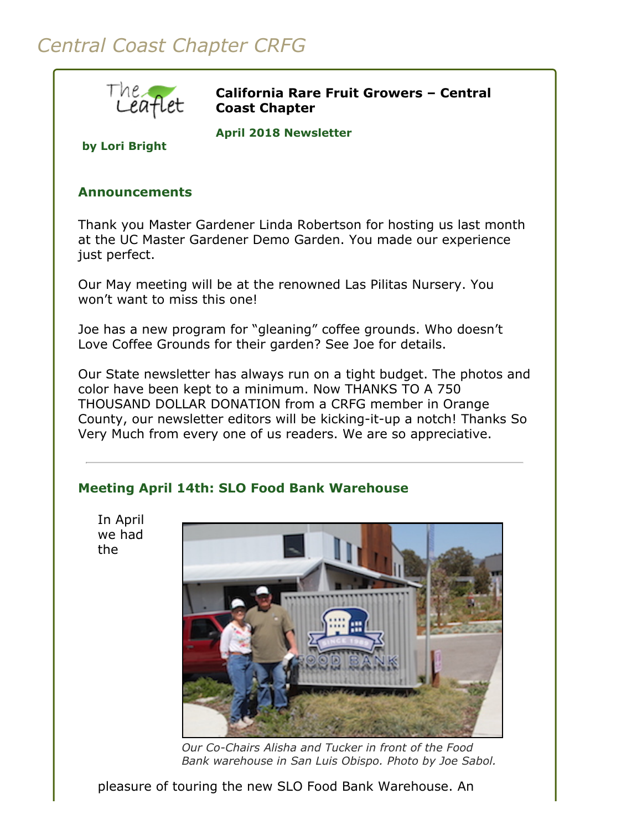# *Central Coast Chapter CRFG*



**California Rare Fruit Growers – Central Coast Chapter**

**April 2018 Newsletter** 

**by Lori Bright**

## **Announcements**

Thank you Master Gardener Linda Robertson for hosting us last month at the UC Master Gardener Demo Garden. You made our experience just perfect.

Our May meeting will be at the renowned Las Pilitas Nursery. You won't want to miss this one!

Joe has a new program for "gleaning" coffee grounds. Who doesn't Love Coffee Grounds for their garden? See Joe for details.

Our State newsletter has always run on a tight budget. The photos and color have been kept to a minimum. Now THANKS TO A 750 THOUSAND DOLLAR DONATION from a CRFG member in Orange County, our newsletter editors will be kicking-it-up a notch! Thanks So Very Much from every one of us readers. We are so appreciative.

# **Meeting April 14th: SLO Food Bank Warehouse**

In April we had the



*Our Co-Chairs Alisha and Tucker in front of the Food Bank warehouse in San Luis Obispo. Photo by Joe Sabol.*

pleasure of touring the new SLO Food Bank Warehouse. An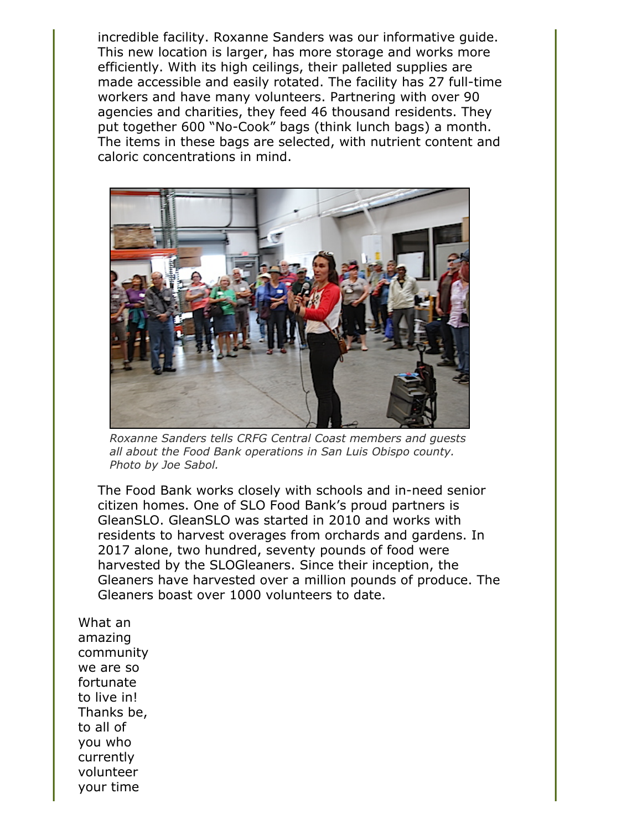incredible facility. Roxanne Sanders was our informative guide. This new location is larger, has more storage and works more efficiently. With its high ceilings, their palleted supplies are made accessible and easily rotated. The facility has 27 full-time workers and have many volunteers. Partnering with over 90 agencies and charities, they feed 46 thousand residents. They put together 600 "No-Cook" bags (think lunch bags) a month. The items in these bags are selected, with nutrient content and caloric concentrations in mind.



*Roxanne Sanders tells CRFG Central Coast members and guests all about the Food Bank operations in San Luis Obispo county. Photo by Joe Sabol.*

The Food Bank works closely with schools and in-need senior citizen homes. One of SLO Food Bank's proud partners is GleanSLO. GleanSLO was started in 2010 and works with residents to harvest overages from orchards and gardens. In 2017 alone, two hundred, seventy pounds of food were harvested by the SLOGleaners. Since their inception, the Gleaners have harvested over a million pounds of produce. The Gleaners boast over 1000 volunteers to date.

What an amazing community we are so fortunate to live in! Thanks be, to all of you who currently volunteer your time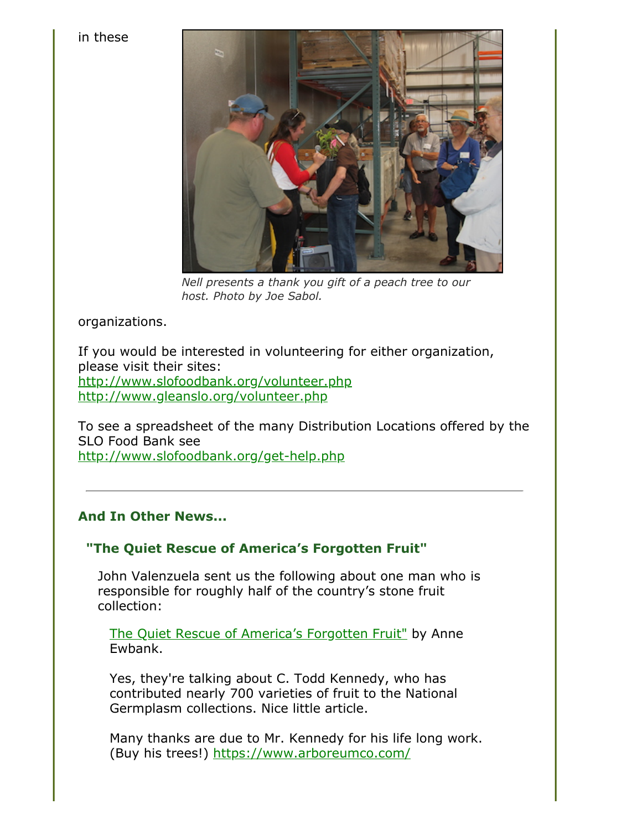#### in these



*Nell presents a thank you gift of a peach tree to our host. Photo by Joe Sabol.*

organizations.

If you would be interested in volunteering for either organization, please visit their sites: <http://www.slofoodbank.org/volunteer.php> <http://www.gleanslo.org/volunteer.php>

To see a spreadsheet of the many Distribution Locations offered by the SLO Food Bank see <http://www.slofoodbank.org/get-help.php>

# **And In Other News...**

# **"The Quiet Rescue of America's Forgotten Fruit"**

John Valenzuela sent us the following about one man who is responsible for roughly half of the country's stone fruit collection:

[The Quiet Rescue of America's Forgotten Fruit"](https://www.atlasobscura.com/articles/growing-collecting-rare-fruit) by Anne Ewbank.

Yes, they're talking about C. Todd Kennedy, who has contributed nearly 700 varieties of fruit to the National Germplasm collections. Nice little article.

Many thanks are due to Mr. Kennedy for his life long work. (Buy his trees!) <https://www.arboreumco.com/>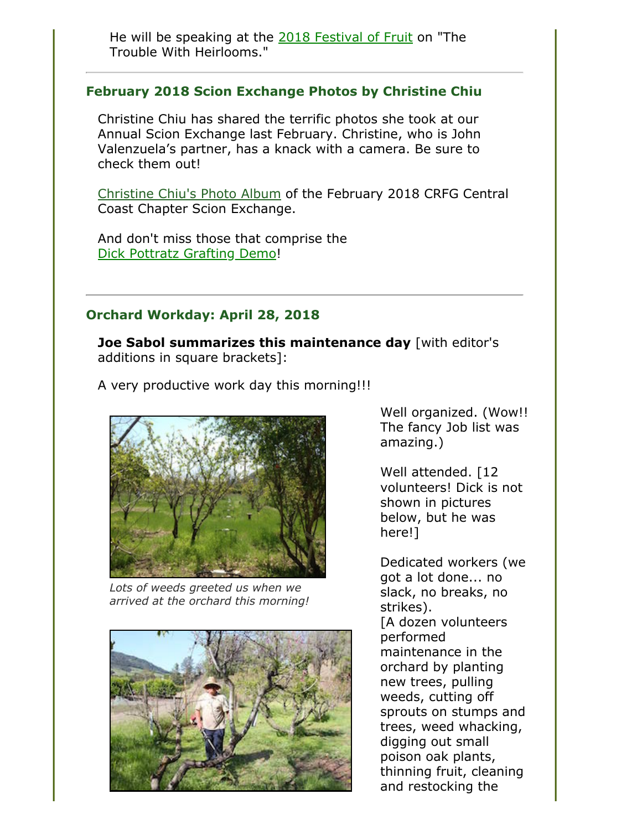He will be speaking at the [2018 Festival of Fruit](http://festivaloffruit.org/speakers/schedule/) on "The Trouble With Heirlooms."

### **February 2018 Scion Exchange Photos by Christine Chiu**

Christine Chiu has shared the terrific photos she took at our Annual Scion Exchange last February. Christine, who is John Valenzuela's partner, has a knack with a camera. Be sure to check them out!

[Christine Chiu's Photo Album](https://photos.app.goo.gl/USwERY8OUPIcQHcm1) of the February 2018 CRFG Central Coast Chapter Scion Exchange.

And don't miss those that comprise the [Dick Pottratz Grafting Demo!](https://photos.app.goo.gl/xH703y7wlKqtNllq1)

### **Orchard Workday: April 28, 2018**

**Joe Sabol summarizes this maintenance day** [with editor's additions in square brackets]:

A very productive work day this morning!!!



*Lots of weeds greeted us when we arrived at the orchard this morning!*



Well organized. (Wow!! The fancy Job list was amazing.)

Well attended. [12 volunteers! Dick is not shown in pictures below, but he was here!]

Dedicated workers (we got a lot done... no slack, no breaks, no strikes). [A dozen volunteers performed maintenance in the orchard by planting new trees, pulling weeds, cutting off sprouts on stumps and trees, weed whacking, digging out small poison oak plants, thinning fruit, cleaning and restocking the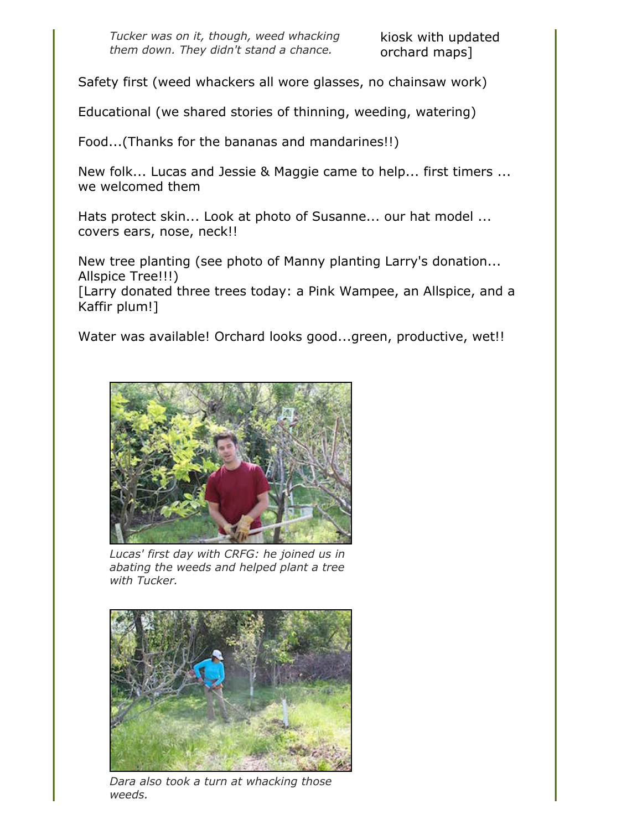kiosk with updated orchard maps]

Safety first (weed whackers all wore glasses, no chainsaw work)

Educational (we shared stories of thinning, weeding, watering)

Food...(Thanks for the bananas and mandarines!!)

New folk... Lucas and Jessie & Maggie came to help... first timers ... we welcomed them

Hats protect skin... Look at photo of Susanne... our hat model ... covers ears, nose, neck!!

New tree planting (see photo of Manny planting Larry's donation... Allspice Tree!!!)

[Larry donated three trees today: a Pink Wampee, an Allspice, and a Kaffir plum!]

Water was available! Orchard looks good...green, productive, wet!!



*Lucas' first day with CRFG: he joined us in abating the weeds and helped plant a tree with Tucker.*



*Dara also took a turn at whacking those weeds.*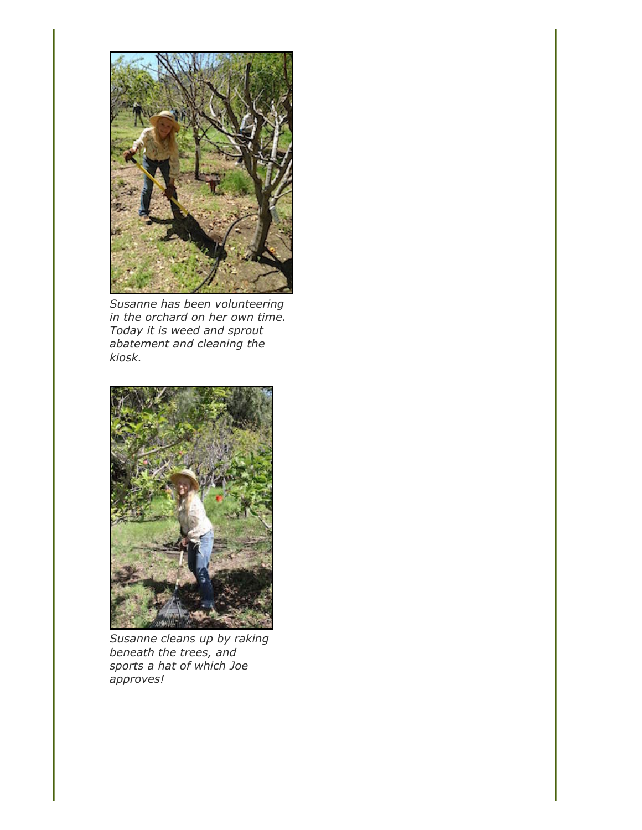

*Susanne has been volunteering in the orchard on her own time. Today it is weed and sprout abatement and cleaning the kiosk.*



*Susanne cleans up by raking beneath the trees, and sports a hat of which Joe approves!*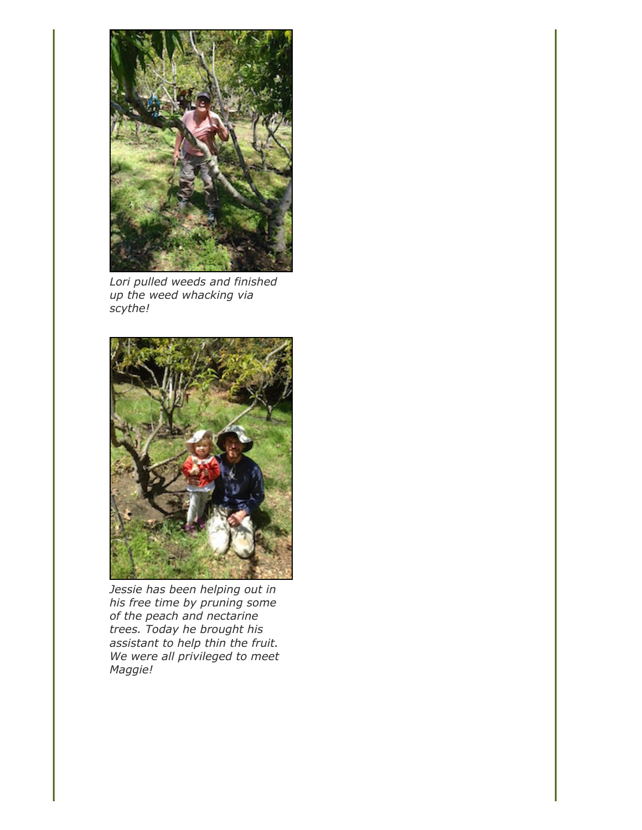

*Lori pulled weeds and finished up the weed whacking via scythe!*



*Jessie has been helping out in his free time by pruning some of the peach and nectarine trees. Today he brought his assistant to help thin the fruit. We were all privileged to meet Maggie!*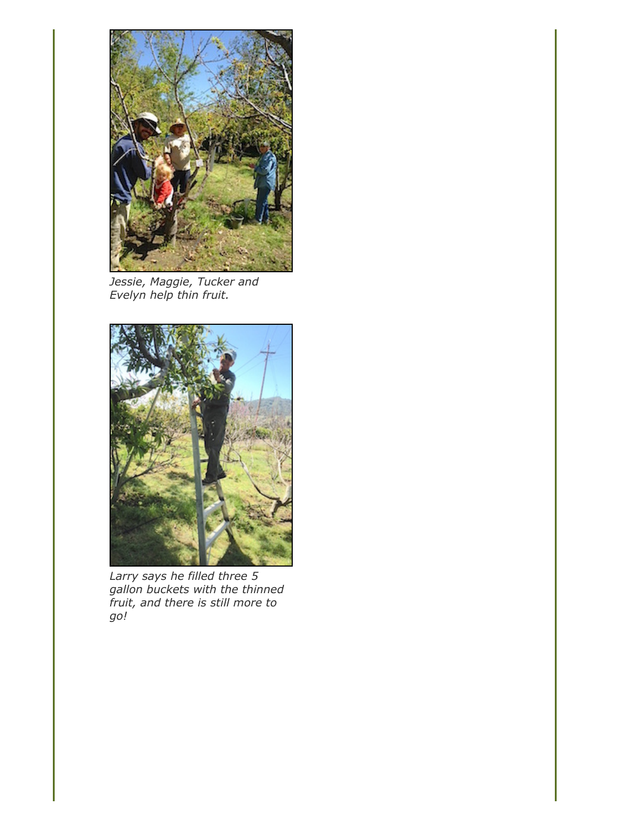

*Jessie, Maggie, Tucker and Evelyn help thin fruit.*



*Larry says he filled three 5 gallon buckets with the thinned fruit, and there is still more to go!*